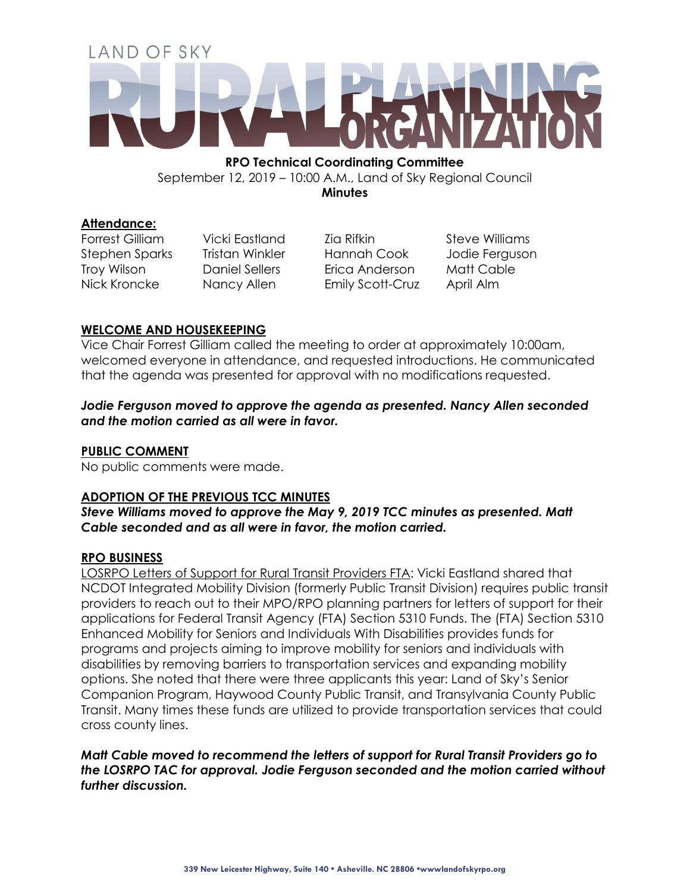# LAND OF SKY

**RPO Technical Coordinating Committee**  September 12, 2019 – 10:00 A.M., Land of Sky Regional Council

**Minutes**

# **Attendance:**

Forrest Gilliam Vicki Eastland Zia Rifkin Steve Williams Stephen Sparks Tristan Winkler Hannah Cook Jodie Ferguson Troy Wilson Daniel Sellers Erica Anderson Matt Cable Nick Kroncke Nancy Allen Emily Scott-Cruz April Alm

# **WELCOME AND HOUSEKEEPING**

Vice Chair Forrest Gilliam called the meeting to order at approximately 10:00am, welcomed everyone in attendance, and requested introductions. He communicated that the agenda was presented for approval with no modifications requested.

## *Jodie Ferguson moved to approve the agenda as presented. Nancy Allen seconded and the motion carried as all were in favor.*

# **PUBLIC COMMENT**

No public comments were made.

# **ADOPTION OF THE PREVIOUS TCC MINUTES**

*Steve Williams moved to approve the May 9, 2019 TCC minutes as presented. Matt Cable seconded and as all were in favor, the motion carried.*

# **RPO BUSINESS**

LOSRPO Letters of Support for Rural Transit Providers FTA: Vicki Eastland shared that NCDOT Integrated Mobility Division (formerly Public Transit Division) requires public transit providers to reach out to their MPO/RPO planning partners for letters of support for their applications for Federal Transit Agency (FTA) Section 5310 Funds. The (FTA) Section 5310 Enhanced Mobility for Seniors and Individuals With Disabilities provides funds for programs and projects aiming to improve mobility for seniors and individuals with disabilities by removing barriers to transportation services and expanding mobility options. She noted that there were three applicants this year: Land of Sky's Senior Companion Program, Haywood County Public Transit, and Transylvania County Public Transit. Many times these funds are utilized to provide transportation services that could cross county lines.

*Matt Cable moved to recommend the letters of support for Rural Transit Providers go to the LOSRPO TAC for approval. Jodie Ferguson seconded and the motion carried without further discussion.*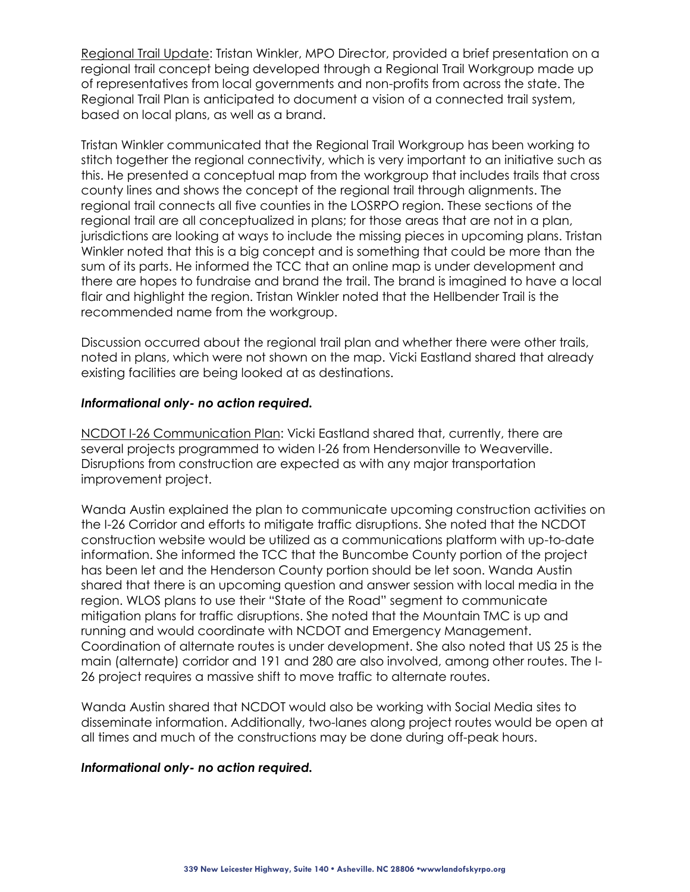Regional Trail Update: Tristan Winkler, MPO Director, provided a brief presentation on a regional trail concept being developed through a Regional Trail Workgroup made up of representatives from local governments and non-profits from across the state. The Regional Trail Plan is anticipated to document a vision of a connected trail system, based on local plans, as well as a brand.

Tristan Winkler communicated that the Regional Trail Workgroup has been working to stitch together the regional connectivity, which is very important to an initiative such as this. He presented a conceptual map from the workgroup that includes trails that cross county lines and shows the concept of the regional trail through alignments. The regional trail connects all five counties in the LOSRPO region. These sections of the regional trail are all conceptualized in plans; for those areas that are not in a plan, jurisdictions are looking at ways to include the missing pieces in upcoming plans. Tristan Winkler noted that this is a big concept and is something that could be more than the sum of its parts. He informed the TCC that an online map is under development and there are hopes to fundraise and brand the trail. The brand is imagined to have a local flair and highlight the region. Tristan Winkler noted that the Hellbender Trail is the recommended name from the workgroup.

Discussion occurred about the regional trail plan and whether there were other trails, noted in plans, which were not shown on the map. Vicki Eastland shared that already existing facilities are being looked at as destinations.

#### *Informational only- no action required.*

NCDOT I-26 Communication Plan: Vicki Eastland shared that, currently, there are several projects programmed to widen I-26 from Hendersonville to Weaverville. Disruptions from construction are expected as with any major transportation improvement project.

Wanda Austin explained the plan to communicate upcoming construction activities on the I-26 Corridor and efforts to mitigate traffic disruptions. She noted that the NCDOT construction website would be utilized as a communications platform with up-to-date information. She informed the TCC that the Buncombe County portion of the project has been let and the Henderson County portion should be let soon. Wanda Austin shared that there is an upcoming question and answer session with local media in the region. WLOS plans to use their "State of the Road" segment to communicate mitigation plans for traffic disruptions. She noted that the Mountain TMC is up and running and would coordinate with NCDOT and Emergency Management. Coordination of alternate routes is under development. She also noted that US 25 is the main (alternate) corridor and 191 and 280 are also involved, among other routes. The I-26 project requires a massive shift to move traffic to alternate routes.

Wanda Austin shared that NCDOT would also be working with Social Media sites to disseminate information. Additionally, two-lanes along project routes would be open at all times and much of the constructions may be done during off-peak hours.

#### *Informational only- no action required.*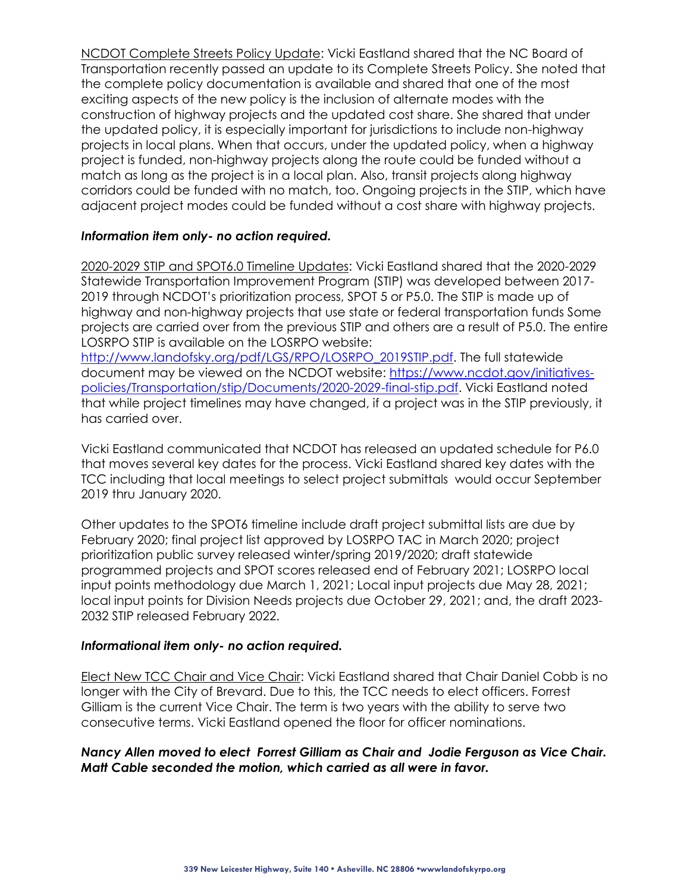NCDOT Complete Streets Policy Update: Vicki Eastland shared that the NC Board of Transportation recently passed an update to its Complete Streets Policy. She noted that the complete policy documentation is available and shared that one of the most exciting aspects of the new policy is the inclusion of alternate modes with the construction of highway projects and the updated cost share. She shared that under the updated policy, it is especially important for jurisdictions to include non-highway projects in local plans. When that occurs, under the updated policy, when a highway project is funded, non-highway projects along the route could be funded without a match as long as the project is in a local plan. Also, transit projects along highway corridors could be funded with no match, too. Ongoing projects in the STIP, which have adjacent project modes could be funded without a cost share with highway projects.

## *Information item only- no action required.*

2020-2029 STIP and SPOT6.0 Timeline Updates: Vicki Eastland shared that the 2020-2029 Statewide Transportation Improvement Program (STIP) was developed between 2017- 2019 through NCDOT's prioritization process, SPOT 5 or P5.0. The STIP is made up of highway and non-highway projects that use state or federal transportation funds Some projects are carried over from the previous STIP and others are a result of P5.0. The entire LOSRPO STIP is available on the LOSRPO website:

[http://www.landofsky.org/pdf/LGS/RPO/LOSRPO\\_2019STIP.pdf.](http://www.landofsky.org/pdf/LGS/RPO/LOSRPO_2019STIP.pdf) The full statewide document may be viewed on the NCDOT website: [https://www.ncdot.gov/initiatives](https://www.ncdot.gov/initiatives-policies/Transportation/stip/Documents/2020-2029-final-stip.pdf)[policies/Transportation/stip/Documents/2020-2029-final-stip.pdf.](https://www.ncdot.gov/initiatives-policies/Transportation/stip/Documents/2020-2029-final-stip.pdf) Vicki Eastland noted that while project timelines may have changed, if a project was in the STIP previously, it has carried over.

Vicki Eastland communicated that NCDOT has released an updated schedule for P6.0 that moves several key dates for the process. Vicki Eastland shared key dates with the TCC including that local meetings to select project submittals would occur September 2019 thru January 2020.

Other updates to the SPOT6 timeline include draft project submittal lists are due by February 2020; final project list approved by LOSRPO TAC in March 2020; project prioritization public survey released winter/spring 2019/2020; draft statewide programmed projects and SPOT scores released end of February 2021; LOSRPO local input points methodology due March 1, 2021; Local input projects due May 28, 2021; local input points for Division Needs projects due October 29, 2021; and, the draft 2023- 2032 STIP released February 2022.

#### *Informational item only- no action required.*

Elect New TCC Chair and Vice Chair: Vicki Eastland shared that Chair Daniel Cobb is no longer with the City of Brevard. Due to this, the TCC needs to elect officers. Forrest Gilliam is the current Vice Chair. The term is two years with the ability to serve two consecutive terms. Vicki Eastland opened the floor for officer nominations.

## *Nancy Allen moved to elect Forrest Gilliam as Chair and Jodie Ferguson as Vice Chair. Matt Cable seconded the motion, which carried as all were in favor.*